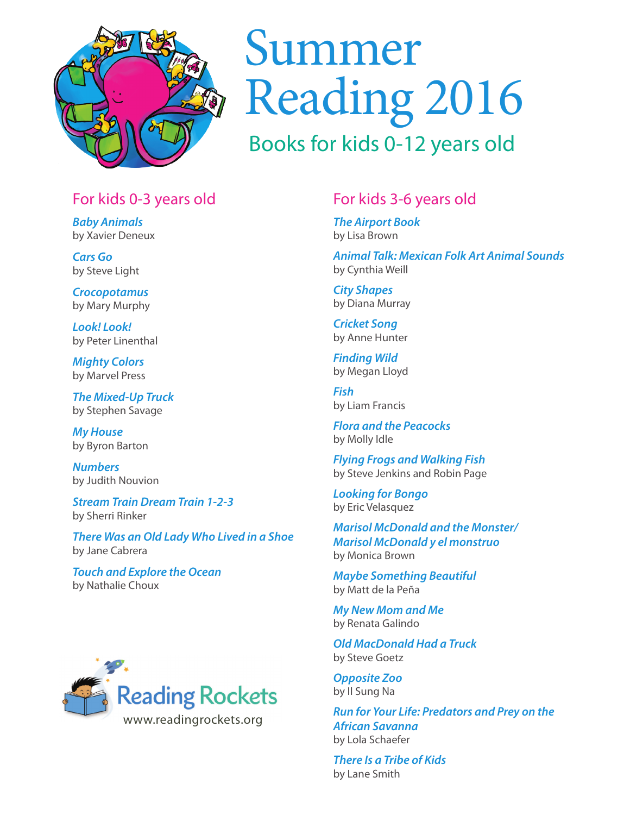

# Summer Reading 2016

### Books for kids 0-12 years old

#### For kids 0-3 years old

*Baby Animals*  by Xavier Deneux

*Cars Go*  by Steve Light

*Crocopotamus* by Mary Murphy

*Look! Look!*  by Peter Linenthal

*Mighty Colors*  by Marvel Press

*The Mixed-Up Truck*  by Stephen Savage

*My House*  by Byron Barton

*Numbers* by Judith Nouvion

*Stream Train Dream Train 1-2-3*  by Sherri Rinker

*There Was an Old Lady Who Lived in a Shoe*  by Jane Cabrera

*Touch and Explore the Ocean*  by Nathalie Choux



#### For kids 3-6 years old

*The Airport Book*  by Lisa Brown

*Animal Talk: Mexican Folk Art Animal Sounds*  by Cynthia Weill

*City Shapes*  by Diana Murray

*Cricket Song*  by Anne Hunter

*Finding Wild*  by Megan Lloyd

*Fish*  by Liam Francis

*Flora and the Peacocks*  by Molly Idle

*Flying Frogs and Walking Fish*  by Steve Jenkins and Robin Page

*Looking for Bongo*  by Eric Velasquez

*Marisol McDonald and the Monster/ Marisol McDonald y el monstruo*  by Monica Brown

*Maybe Something Beautiful*  by Matt de la Peña

*My New Mom and Me*  by Renata Galindo

*Old MacDonald Had a Truck*  by Steve Goetz

*Opposite Zoo*  by Il Sung Na

*Run for Your Life: Predators and Prey on the African Savanna*  by Lola Schaefer

*There Is a Tribe of Kids*  by Lane Smith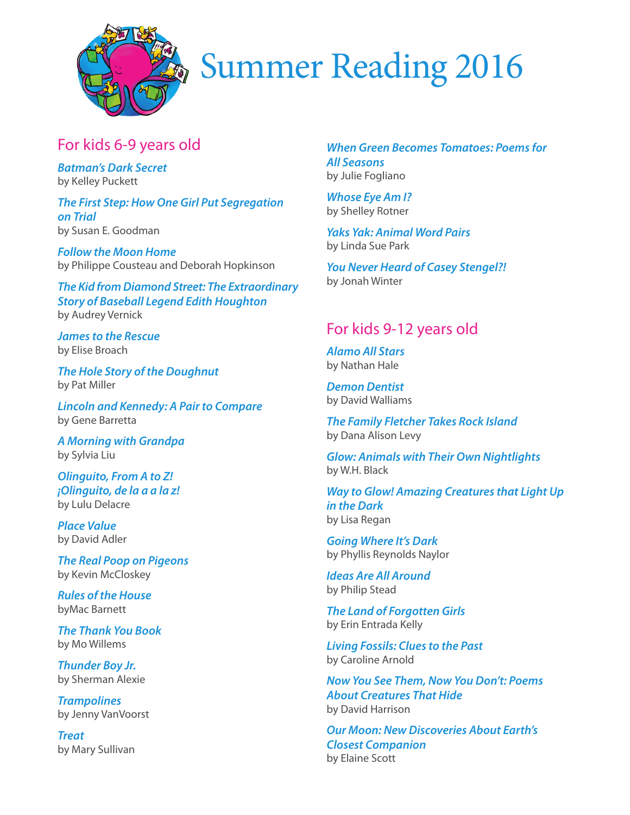

### Summer Reading 2016

#### For kids 6-9 years old

*Batman's Dark Secret*  by Kelley Puckett

*The First Step: How One Girl Put Segregation on Trial*  by Susan E. Goodman

*Follow the Moon Home*  by Philippe Cousteau and Deborah Hopkinson

*The Kid from Diamond Street: The Extraordinary Story of Baseball Legend Edith Houghton*  by Audrey Vernick

*James to the Rescue*  by Elise Broach

*The Hole Story of the Doughnut*  by Pat Miller

*Lincoln and Kennedy: A Pair to Compare*  by Gene Barretta

*A Morning with Grandpa*  by Sylvia Liu

*Olinguito, From A to Z! ¡Olinguito, de la a a la z!*  by Lulu Delacre

*Place Value*  by David Adler

*The Real Poop on Pigeons*  by Kevin McCloskey

*Rules of the House*  byMac Barnett

*The Thank You Book*  by Mo Willems

*Thunder Boy Jr.*  by Sherman Alexie

*Trampolines*  by Jenny VanVoorst

*Treat*  by Mary Sullivan

*When Green Becomes Tomatoes: Poems for All Seasons*  by Julie Fogliano

*Whose Eye Am I?*  by Shelley Rotner

*Yaks Yak: Animal Word Pairs*  by Linda Sue Park

*You Never Heard of Casey Stengel?!*  by Jonah Winter

#### For kids 9-12 years old

*Alamo All Stars*  by Nathan Hale

*Demon Dentist*  by David Walliams

*The Family Fletcher Takes Rock Island*  by Dana Alison Levy

*Glow: Animals with Their Own Nightlights*  by W.H. Black

*Way to Glow! Amazing Creatures that Light Up in the Dark*  by Lisa Regan

*Going Where It's Dark*  by Phyllis Reynolds Naylor

*Ideas Are All Around*  by Philip Stead

*The Land of Forgotten Girls*  by Erin Entrada Kelly

*Living Fossils: Clues to the Past*  by Caroline Arnold

*Now You See Them, Now You Don't: Poems About Creatures That Hide*  by David Harrison

*Our Moon: New Discoveries About Earth's Closest Companion*  by Elaine Scott